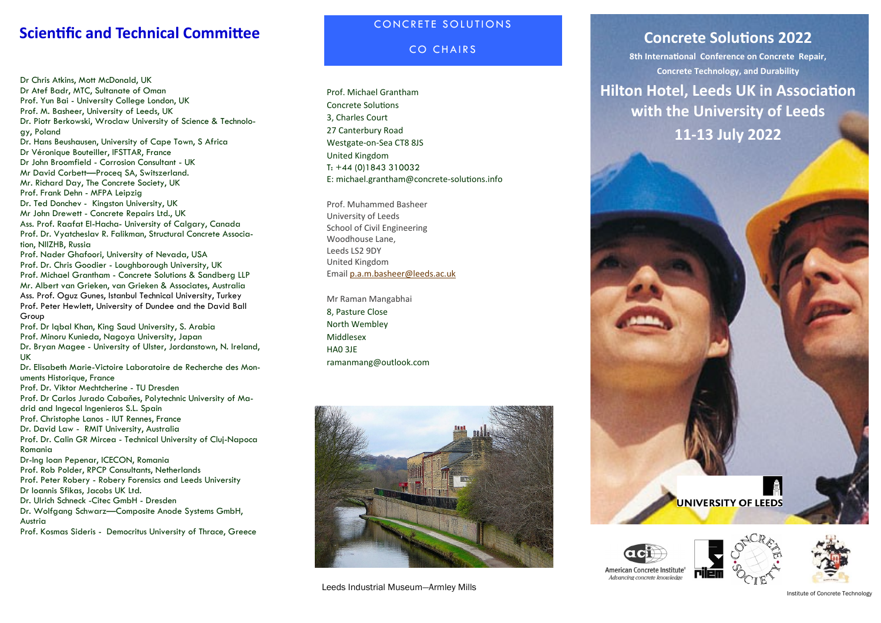# **Scientific and Technical Committee CONCRETE SOLUTIONS**

Dr Chris Atkins, Mott McDonald, UK Dr Atef Badr, MTC, Sultanate of Oman Prof. Yun Bai - University College London, UK Prof. M. Basheer, University of Leeds, UK Dr. Piotr Berkowski, Wroclaw University of Science & Technology, Poland Dr. Hans Beushausen, University of Cape Town, S Africa Dr Véronique Bouteiller, IFSTTAR, France Dr John Broomfield - Corrosion Consultant - UK Mr David Corbett—Proceq SA, Switszerland. Mr. Richard Day, The Concrete Society, UK Prof. Frank Dehn - MFPA Leipzig Dr. Ted Donchev - Kingston University, UK Mr John Drewett - Concrete Repairs Ltd., UK Ass. Prof. Raafat El-Hacha- University of Calgary, Canada Prof. Dr. Vyatcheslav R. Falikman, Structural Concrete Association, NIIZHB, Russia Prof. Nader Ghafoori, University of Nevada, USA Prof. Dr. Chris Goodier - Loughborough University, UK Prof. Michael Grantham - Concrete Solutions & Sandberg LLP Mr. Albert van Grieken, van Grieken & Associates, Australia Ass. Prof. Oguz Gunes, Istanbul Technical University, Turkey Prof. Peter Hewlett, University of Dundee and the David Ball Group Prof. Dr Iqbal Khan, King Saud University, S. Arabia Prof. Minoru Kunieda, Nagoya University, Japan Dr. Bryan Magee - University of Ulster, Jordanstown, N. Ireland, UK Dr. Elisabeth Marie-Victoire Laboratoire de Recherche des Monuments Historique, France Prof. Dr. Viktor Mechtcherine - TU Dresden Prof. Dr Carlos Jurado Cabaňes, Polytechnic University of Madrid and Ingecal Ingenieros S.L. Spain Prof. Christophe Lanos - IUT Rennes, France Dr. David Law - RMIT University, Australia Prof. Dr. Calin GR Mircea - Technical University of Cluj-Napoca Romania Dr-Ing Ioan Pepenar, ICECON, Romania Prof. Rob Polder, RPCP Consultants, Netherlands Prof. Peter Robery - Robery Forensics and Leeds University Dr Ioannis Sfikas, Jacobs UK Ltd. Dr. Ulrich Schneck -Citec GmbH - Dresden Dr. Wolfgang Schwarz—Composite Anode Systems GmbH, Austria Prof. Kosmas Sideris - Democritus University of Thrace, Greece

**CO CHAIRS** 

Prof. Michael Grantham Concrete Solutions 3, Charles Court 27 Canterbury Road Westgate-on-Sea CT8 8JS United Kingdom T: +44 (0)1843 310032 E: michael.grantham@concrete-solutions.info

Prof. Muhammed Basheer University of Leeds School of Civil Engineering Woodhouse Lane, Leeds LS2 9DY United Kingdom Email [p.a.m.basheer@leeds.ac.uk](mailto:p.a.m.basheer@leeds.ac.uk?subject=Concrete%20Solutions%202021%20-%20Enquiry)

Mr Raman Mangabhai 8, Pasture Close North Wembley Middlesex HA0 3JE ramanmang@outlook.com



Leeds Industrial Museum—Armley Mills

# **Concrete Solutions 2022**

**8th International Conference on Concrete Repair, Concrete Technology, and Durability**

**Hilton Hotel, Leeds UK in Association with the University of Leeds 11-13 July 2022**





UNIVERSITY OF LEEDS



Institute of Concrete Technology